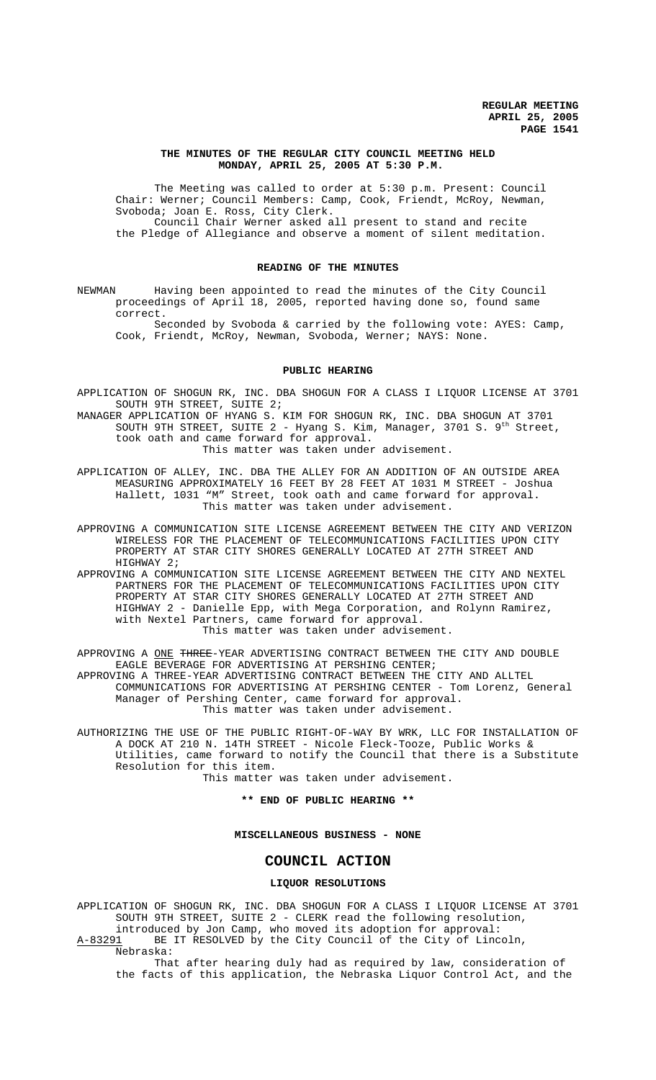## **THE MINUTES OF THE REGULAR CITY COUNCIL MEETING HELD MONDAY, APRIL 25, 2005 AT 5:30 P.M.**

The Meeting was called to order at 5:30 p.m. Present: Council Chair: Werner; Council Members: Camp, Cook, Friendt, McRoy, Newman, Svoboda; Joan E. Ross, City Clerk. Council Chair Werner asked all present to stand and recite the Pledge of Allegiance and observe a moment of silent meditation.

#### **READING OF THE MINUTES**

NEWMAN Having been appointed to read the minutes of the City Council proceedings of April 18, 2005, reported having done so, found same correct.

Seconded by Svoboda & carried by the following vote: AYES: Camp, Cook, Friendt, McRoy, Newman, Svoboda, Werner; NAYS: None.

## **PUBLIC HEARING**

APPLICATION OF SHOGUN RK, INC. DBA SHOGUN FOR A CLASS I LIQUOR LICENSE AT 3701 SOUTH 9TH STREET, SUITE 2;

MANAGER APPLICATION OF HYANG S. KIM FOR SHOGUN RK, INC. DBA SHOGUN AT 3701 SOUTH 9TH STREET, SUITE  $2$  - Hyang S. Kim, Manager, 3701 S. 9<sup>th</sup> Street, took oath and came forward for approval. This matter was taken under advisement.

APPLICATION OF ALLEY, INC. DBA THE ALLEY FOR AN ADDITION OF AN OUTSIDE AREA MEASURING APPROXIMATELY 16 FEET BY 28 FEET AT 1031 M STREET - Joshua Hallett, 1031 "M" Street, took oath and came forward for approval. This matter was taken under advisement.

APPROVING A COMMUNICATION SITE LICENSE AGREEMENT BETWEEN THE CITY AND VERIZON WIRELESS FOR THE PLACEMENT OF TELECOMMUNICATIONS FACILITIES UPON CITY PROPERTY AT STAR CITY SHORES GENERALLY LOCATED AT 27TH STREET AND HIGHWAY 2;

APPROVING A COMMUNICATION SITE LICENSE AGREEMENT BETWEEN THE CITY AND NEXTEL PARTNERS FOR THE PLACEMENT OF TELECOMMUNICATIONS FACILITIES UPON CITY PROPERTY AT STAR CITY SHORES GENERALLY LOCATED AT 27TH STREET AND HIGHWAY 2 - Danielle Epp, with Mega Corporation, and Rolynn Ramirez, with Nextel Partners, came forward for approval. This matter was taken under advisement.

APPROVING A ONE THREE-YEAR ADVERTISING CONTRACT BETWEEN THE CITY AND DOUBLE EAGLE BEVERAGE FOR ADVERTISING AT PERSHING CENTER;

APPROVING A THREE-YEAR ADVERTISING CONTRACT BETWEEN THE CITY AND ALLTEL COMMUNICATIONS FOR ADVERTISING AT PERSHING CENTER - Tom Lorenz, General Manager of Pershing Center, came forward for approval. This matter was taken under advisement.

AUTHORIZING THE USE OF THE PUBLIC RIGHT-OF-WAY BY WRK, LLC FOR INSTALLATION OF A DOCK AT 210 N. 14TH STREET - Nicole Fleck-Tooze, Public Works & Utilities, came forward to notify the Council that there is a Substitute Resolution for this item.

This matter was taken under advisement.

#### **\*\* END OF PUBLIC HEARING \*\***

# **MISCELLANEOUS BUSINESS - NONE**

# **COUNCIL ACTION**

#### **LIQUOR RESOLUTIONS**

APPLICATION OF SHOGUN RK, INC. DBA SHOGUN FOR A CLASS I LIQUOR LICENSE AT 3701 SOUTH 9TH STREET, SUITE 2 - CLERK read the following resolution, introduced by Jon Camp, who moved its adoption for approval:

A-83291 BE IT RESOLVED by the City Council of the City of Lincoln, Nebraska:

That after hearing duly had as required by law, consideration of the facts of this application, the Nebraska Liquor Control Act, and the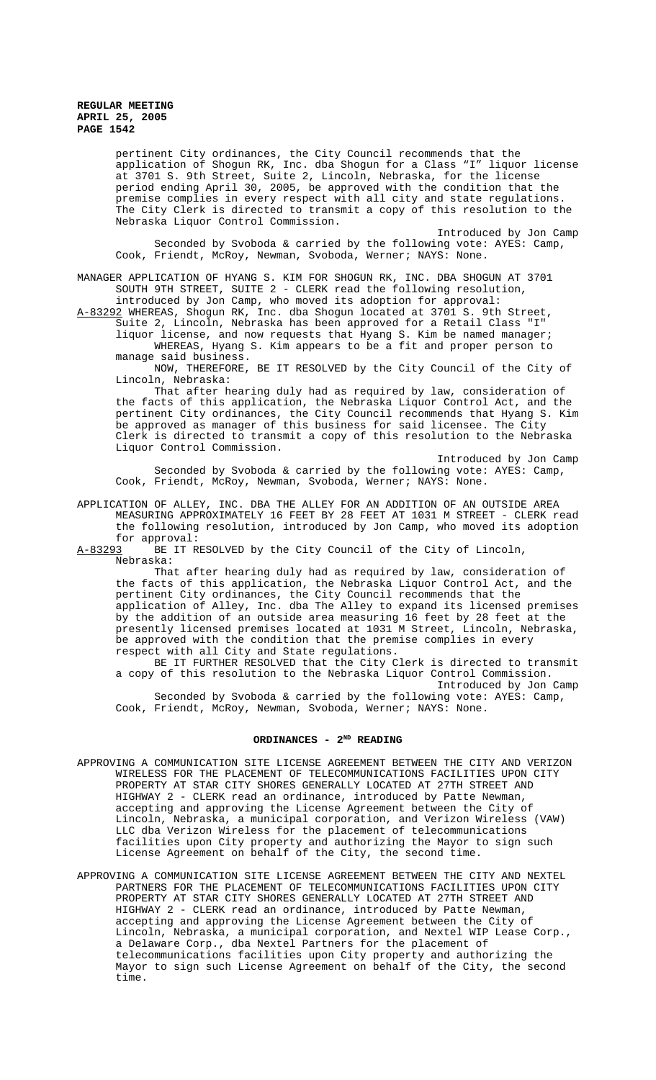pertinent City ordinances, the City Council recommends that the application of Shogun RK, Inc. dba Shogun for a Class "I" liquor license at 3701 S. 9th Street, Suite 2, Lincoln, Nebraska, for the license period ending April 30, 2005, be approved with the condition that the premise complies in every respect with all city and state regulations. The City Clerk is directed to transmit a copy of this resolution to the Nebraska Liquor Control Commission.

Introduced by Jon Camp Seconded by Svoboda & carried by the following vote: AYES: Camp, Cook, Friendt, McRoy, Newman, Svoboda, Werner; NAYS: None.

MANAGER APPLICATION OF HYANG S. KIM FOR SHOGUN RK, INC. DBA SHOGUN AT 3701 SOUTH 9TH STREET, SUITE 2 - CLERK read the following resolution, introduced by Jon Camp, who moved its adoption for approval:

A-83292 WHEREAS, Shogun RK, Inc. dba Shogun located at 3701 S. 9th Street, Suite 2, Lincoln, Nebraska has been approved for a Retail Class "I" liquor license, and now requests that Hyang S. Kim be named manager; WHEREAS, Hyang S. Kim appears to be a fit and proper person to manage said business.

NOW, THEREFORE, BE IT RESOLVED by the City Council of the City of Lincoln, Nebraska:

That after hearing duly had as required by law, consideration of the facts of this application, the Nebraska Liquor Control Act, and the pertinent City ordinances, the City Council recommends that Hyang S. Kim be approved as manager of this business for said licensee. The City Clerk is directed to transmit a copy of this resolution to the Nebraska Liquor Control Commission.

Introduced by Jon Camp Seconded by Svoboda & carried by the following vote: AYES: Camp, Cook, Friendt, McRoy, Newman, Svoboda, Werner; NAYS: None.

APPLICATION OF ALLEY, INC. DBA THE ALLEY FOR AN ADDITION OF AN OUTSIDE AREA MEASURING APPROXIMATELY 16 FEET BY 28 FEET AT 1031 M STREET - CLERK read the following resolution, introduced by Jon Camp, who moved its adoption

for approval: BE IT RESOLVED by the City Council of the City of Lincoln, Nebraska:

That after hearing duly had as required by law, consideration of the facts of this application, the Nebraska Liquor Control Act, and the pertinent City ordinances, the City Council recommends that the application of Alley, Inc. dba The Alley to expand its licensed premises by the addition of an outside area measuring 16 feet by 28 feet at the presently licensed premises located at 1031 M Street, Lincoln, Nebraska, be approved with the condition that the premise complies in every respect with all City and State regulations.

BE IT FURTHER RESOLVED that the City Clerk is directed to transmit a copy of this resolution to the Nebraska Liquor Control Commission. Introduced by Jon Camp Seconded by Svoboda & carried by the following vote: AYES: Camp, Cook, Friendt, McRoy, Newman, Svoboda, Werner; NAYS: None.

# **ORDINANCES - 2ND READING**

- APPROVING A COMMUNICATION SITE LICENSE AGREEMENT BETWEEN THE CITY AND VERIZON WIRELESS FOR THE PLACEMENT OF TELECOMMUNICATIONS FACILITIES UPON CITY PROPERTY AT STAR CITY SHORES GENERALLY LOCATED AT 27TH STREET AND HIGHWAY 2 - CLERK read an ordinance, introduced by Patte Newman, accepting and approving the License Agreement between the City of Lincoln, Nebraska, a municipal corporation, and Verizon Wireless (VAW) LLC dba Verizon Wireless for the placement of telecommunications facilities upon City property and authorizing the Mayor to sign such License Agreement on behalf of the City, the second time.
- APPROVING A COMMUNICATION SITE LICENSE AGREEMENT BETWEEN THE CITY AND NEXTEL PARTNERS FOR THE PLACEMENT OF TELECOMMUNICATIONS FACILITIES UPON CITY PROPERTY AT STAR CITY SHORES GENERALLY LOCATED AT 27TH STREET AND HIGHWAY 2 - CLERK read an ordinance, introduced by Patte Newman, accepting and approving the License Agreement between the City of Lincoln, Nebraska, a municipal corporation, and Nextel WIP Lease Corp., a Delaware Corp., dba Nextel Partners for the placement of telecommunications facilities upon City property and authorizing the Mayor to sign such License Agreement on behalf of the City, the second time.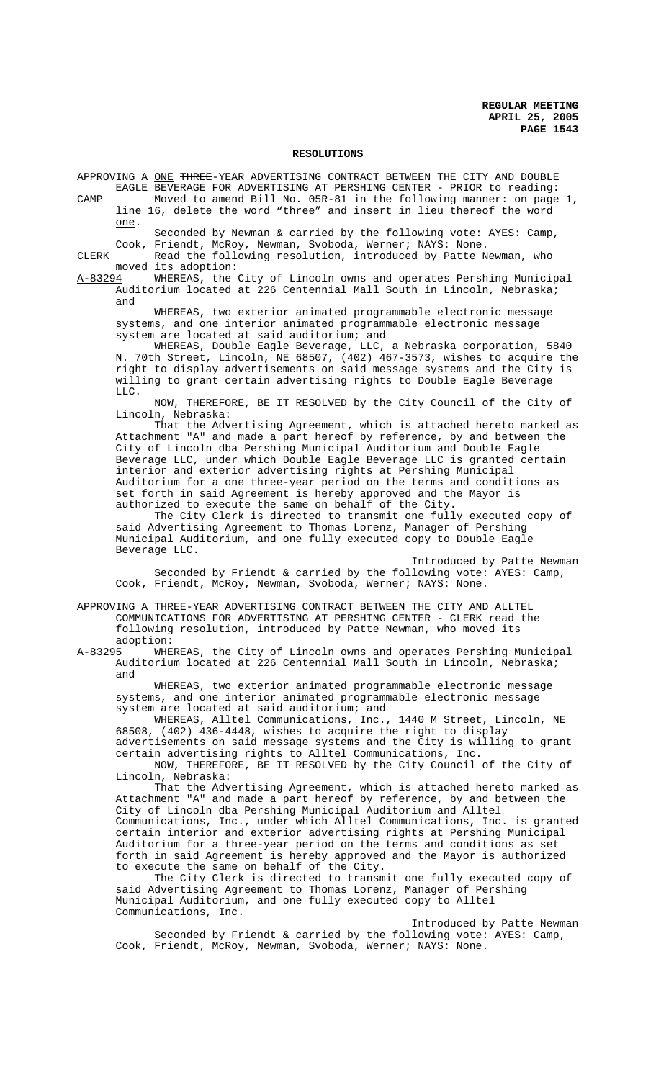#### **RESOLUTIONS**

APPROVING A ONE THREE-YEAR ADVERTISING CONTRACT BETWEEN THE CITY AND DOUBLE EAGLE BEVERAGE FOR ADVERTISING AT PERSHING CENTER - PRIOR to reading:

CAMP Moved to amend Bill No. 05R-81 in the following manner: on page 1, line 16, delete the word "three" and insert in lieu thereof the word one.

Seconded by Newman & carried by the following vote: AYES: Camp, Cook, Friendt, McRoy, Newman, Svoboda, Werner; NAYS: None.

CLERK Read the following resolution, introduced by Patte Newman, who moved its adoption:

A-83294 WHEREAS, the City of Lincoln owns and operates Pershing Municipal Auditorium located at 226 Centennial Mall South in Lincoln, Nebraska; and

WHEREAS, two exterior animated programmable electronic message systems, and one interior animated programmable electronic message system are located at said auditorium; and

WHEREAS, Double Eagle Beverage, LLC, a Nebraska corporation, 5840 N. 70th Street, Lincoln, NE 68507, (402) 467-3573, wishes to acquire the right to display advertisements on said message systems and the City is willing to grant certain advertising rights to Double Eagle Beverage LLC.

NOW, THEREFORE, BE IT RESOLVED by the City Council of the City of Lincoln, Nebraska:

That the Advertising Agreement, which is attached hereto marked as Attachment "A" and made a part hereof by reference, by and between the City of Lincoln dba Pershing Municipal Auditorium and Double Eagle Beverage LLC, under which Double Eagle Beverage LLC is granted certain interior and exterior advertising rights at Pershing Municipal Auditorium for a one three-year period on the terms and conditions as set forth in said Agreement is hereby approved and the Mayor is authorized to execute the same on behalf of the City.

The City Clerk is directed to transmit one fully executed copy of said Advertising Agreement to Thomas Lorenz, Manager of Pershing Municipal Auditorium, and one fully executed copy to Double Eagle Beverage LLC.

Introduced by Patte Newman Seconded by Friendt & carried by the following vote: AYES: Camp, Cook, Friendt, McRoy, Newman, Svoboda, Werner; NAYS: None.

APPROVING A THREE-YEAR ADVERTISING CONTRACT BETWEEN THE CITY AND ALLTEL COMMUNICATIONS FOR ADVERTISING AT PERSHING CENTER - CLERK read the following resolution, introduced by Patte Newman, who moved its adoption:<br><u>A-83295</u> WHE

WHEREAS, the City of Lincoln owns and operates Pershing Municipal Auditorium located at 226 Centennial Mall South in Lincoln, Nebraska; and

WHEREAS, two exterior animated programmable electronic message systems, and one interior animated programmable electronic message system are located at said auditorium; and

WHEREAS, Alltel Communications, Inc., 1440 M Street, Lincoln, NE 68508, (402) 436-4448, wishes to acquire the right to display

advertisements on said message systems and the City is willing to grant certain advertising rights to Alltel Communications, Inc.

NOW, THEREFORE, BE IT RESOLVED by the City Council of the City of Lincoln, Nebraska:

That the Advertising Agreement, which is attached hereto marked as Attachment "A" and made a part hereof by reference, by and between the City of Lincoln dba Pershing Municipal Auditorium and Alltel Communications, Inc., under which Alltel Communications, Inc. is granted certain interior and exterior advertising rights at Pershing Municipal Auditorium for a three-year period on the terms and conditions as set forth in said Agreement is hereby approved and the Mayor is authorized to execute the same on behalf of the City.

The City Clerk is directed to transmit one fully executed copy of said Advertising Agreement to Thomas Lorenz, Manager of Pershing Municipal Auditorium, and one fully executed copy to Alltel Communications, Inc.

Introduced by Patte Newman Seconded by Friendt & carried by the following vote: AYES: Camp, Cook, Friendt, McRoy, Newman, Svoboda, Werner; NAYS: None.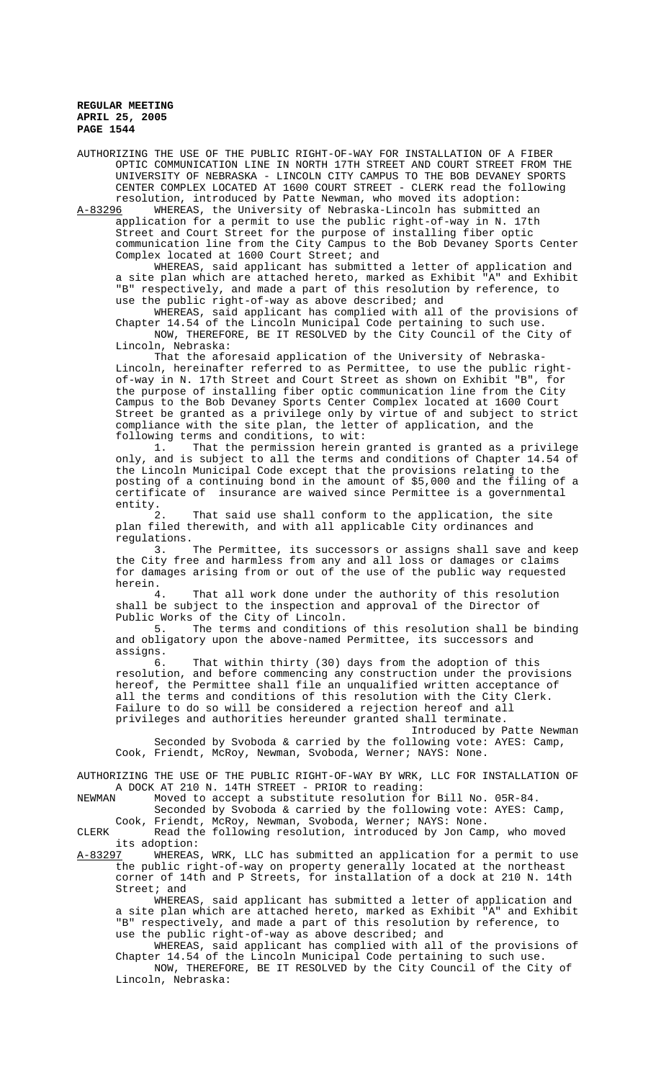AUTHORIZING THE USE OF THE PUBLIC RIGHT-OF-WAY FOR INSTALLATION OF A FIBER OPTIC COMMUNICATION LINE IN NORTH 17TH STREET AND COURT STREET FROM THE UNIVERSITY OF NEBRASKA - LINCOLN CITY CAMPUS TO THE BOB DEVANEY SPORTS CENTER COMPLEX LOCATED AT 1600 COURT STREET - CLERK read the following resolution, introduced by Patte Newman, who moved its adoption:

A-83296 WHEREAS, the University of Nebraska-Lincoln has submitted an application for a permit to use the public right-of-way in N. 17th Street and Court Street for the purpose of installing fiber optic communication line from the City Campus to the Bob Devaney Sports Center Complex located at 1600 Court Street; and

WHEREAS, said applicant has submitted a letter of application and a site plan which are attached hereto, marked as Exhibit "A" and Exhibit "B" respectively, and made a part of this resolution by reference, to use the public right-of-way as above described; and

WHEREAS, said applicant has complied with all of the provisions of Chapter 14.54 of the Lincoln Municipal Code pertaining to such use. NOW, THEREFORE, BE IT RESOLVED by the City Council of the City of Lincoln, Nebraska:

That the aforesaid application of the University of Nebraska-Lincoln, hereinafter referred to as Permittee, to use the public rightof-way in N. 17th Street and Court Street as shown on Exhibit "B", for the purpose of installing fiber optic communication line from the City Campus to the Bob Devaney Sports Center Complex located at 1600 Court Street be granted as a privilege only by virtue of and subject to strict compliance with the site plan, the letter of application, and the following terms and conditions, to wit:

1. That the permission herein granted is granted as a privilege only, and is subject to all the terms and conditions of Chapter 14.54 of the Lincoln Municipal Code except that the provisions relating to the posting of a continuing bond in the amount of \$5,000 and the filing of a certificate of insurance are waived since Permittee is a governmental entity.

2. That said use shall conform to the application, the site plan filed therewith, and with all applicable City ordinances and

regulations.<br>3. The Permittee, its successors or assigns shall save and keep the City free and harmless from any and all loss or damages or claims for damages arising from or out of the use of the public way requested herein.

That all work done under the authority of this resolution shall be subject to the inspection and approval of the Director of Public Works of the City of Lincoln.<br>5. The terms and conditions

The terms and conditions of this resolution shall be binding and obligatory upon the above-named Permittee, its successors and assigns.

6. That within thirty (30) days from the adoption of this resolution, and before commencing any construction under the provisions hereof, the Permittee shall file an unqualified written acceptance of all the terms and conditions of this resolution with the City Clerk. Failure to do so will be considered a rejection hereof and all privileges and authorities hereunder granted shall terminate.

Introduced by Patte Newman Seconded by Svoboda & carried by the following vote: AYES: Camp, Cook, Friendt, McRoy, Newman, Svoboda, Werner; NAYS: None.

AUTHORIZING THE USE OF THE PUBLIC RIGHT-OF-WAY BY WRK, LLC FOR INSTALLATION OF A DOCK AT 210 N. 14TH STREET - PRIOR to reading:<br>NEWMAN Moved to accept a substitute resolution for

Moved to accept a substitute resolution for Bill No. 05R-84.

Seconded by Svoboda & carried by the following vote: AYES: Camp,

Cook, Friendt, McRoy, Newman, Svoboda, Werner; NAYS: None. CLERK Read the following resolution, introduced by Jon Camp, who moved

its adoption:<br>A-83297 WHEREAS WHEREAS, WRK, LLC has submitted an application for a permit to use the public right-of-way on property generally located at the northeast corner of 14th and P Streets, for installation of a dock at 210 N. 14th Street; and

WHEREAS, said applicant has submitted a letter of application and a site plan which are attached hereto, marked as Exhibit "A" and Exhibit "B" respectively, and made a part of this resolution by reference, to use the public right-of-way as above described; and

WHEREAS, said applicant has complied with all of the provisions of Chapter 14.54 of the Lincoln Municipal Code pertaining to such use. NOW, THEREFORE, BE IT RESOLVED by the City Council of the City of Lincoln, Nebraska: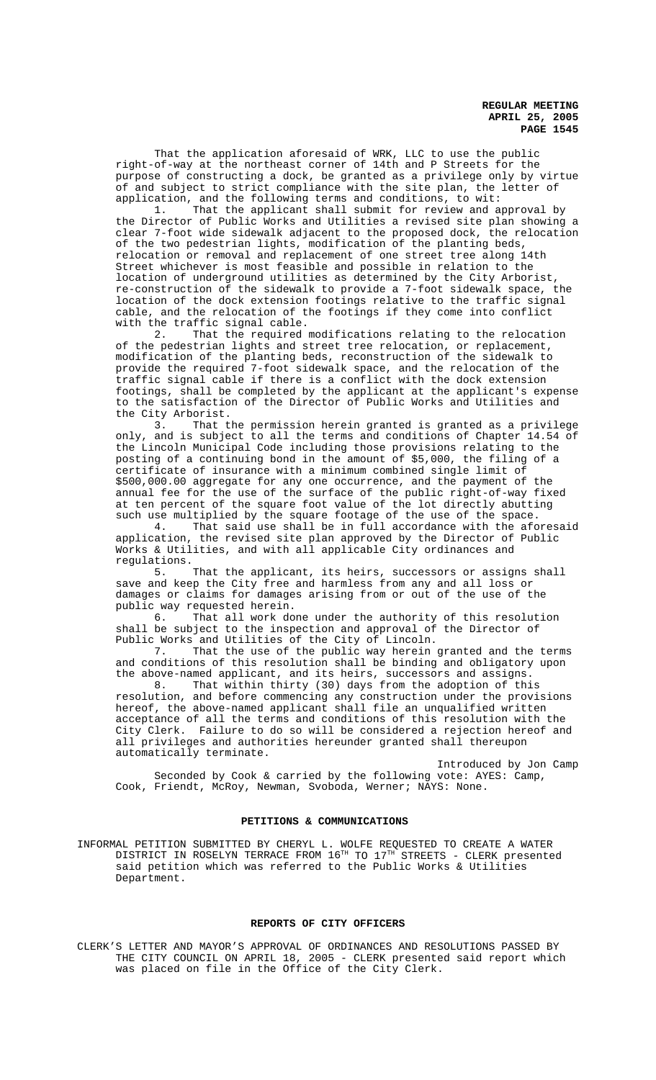That the application aforesaid of WRK, LLC to use the public right-of-way at the northeast corner of 14th and P Streets for the purpose of constructing a dock, be granted as a privilege only by virtue of and subject to strict compliance with the site plan, the letter of application, and the following terms and conditions, to wit:

1. That the applicant shall submit for review and approval by the Director of Public Works and Utilities a revised site plan showing a clear 7-foot wide sidewalk adjacent to the proposed dock, the relocation of the two pedestrian lights, modification of the planting beds, relocation or removal and replacement of one street tree along 14th Street whichever is most feasible and possible in relation to the location of underground utilities as determined by the City Arborist, re-construction of the sidewalk to provide a 7-foot sidewalk space, the location of the dock extension footings relative to the traffic signal cable, and the relocation of the footings if they come into conflict with the traffic signal cable.

2. That the required modifications relating to the relocation of the pedestrian lights and street tree relocation, or replacement, modification of the planting beds, reconstruction of the sidewalk to provide the required 7-foot sidewalk space, and the relocation of the traffic signal cable if there is a conflict with the dock extension footings, shall be completed by the applicant at the applicant's expense to the satisfaction of the Director of Public Works and Utilities and the City Arborist.<br>3. That the

That the permission herein granted is granted as a privilege only, and is subject to all the terms and conditions of Chapter 14.54 of the Lincoln Municipal Code including those provisions relating to the posting of a continuing bond in the amount of \$5,000, the filing of a certificate of insurance with a minimum combined single limit of \$500,000.00 aggregate for any one occurrence, and the payment of the annual fee for the use of the surface of the public right-of-way fixed at ten percent of the square foot value of the lot directly abutting such use multiplied by the square footage of the use of the space.<br>4. That said use shall be in full accordance with the afor-

That said use shall be in full accordance with the aforesaid application, the revised site plan approved by the Director of Public Works & Utilities, and with all applicable City ordinances and regulations.<br>5.

That the applicant, its heirs, successors or assigns shall save and keep the City free and harmless from any and all loss or damages or claims for damages arising from or out of the use of the public way requested herein.<br>6. That all work do

That all work done under the authority of this resolution shall be subject to the inspection and approval of the Director of Public Works and Utilities of the City of Lincoln.

7. That the use of the public way herein granted and the terms and conditions of this resolution shall be binding and obligatory upon the above-named applicant, and its heirs, successors and assigns.

8. That within thirty (30) days from the adoption of this 8. That within thirty (30) days from the adoption of this resolution, and before commencing any construction under the provisions hereof, the above-named applicant shall file an unqualified written acceptance of all the terms and conditions of this resolution with the City Clerk. Failure to do so will be considered a rejection hereof and all privileges and authorities hereunder granted shall thereupon automatically terminate.

Introduced by Jon Camp Seconded by Cook & carried by the following vote: AYES: Camp, Cook, Friendt, McRoy, Newman, Svoboda, Werner; NAYS: None.

## **PETITIONS & COMMUNICATIONS**

INFORMAL PETITION SUBMITTED BY CHERYL L. WOLFE REQUESTED TO CREATE A WATER DISTRICT IN ROSELYN TERRACE FROM 16TH TO 17TH STREETS - CLERK presented said petition which was referred to the Public Works & Utilities Department.

#### **REPORTS OF CITY OFFICERS**

CLERK'S LETTER AND MAYOR'S APPROVAL OF ORDINANCES AND RESOLUTIONS PASSED BY THE CITY COUNCIL ON APRIL 18, 2005 - CLERK presented said report which was placed on file in the Office of the City Clerk.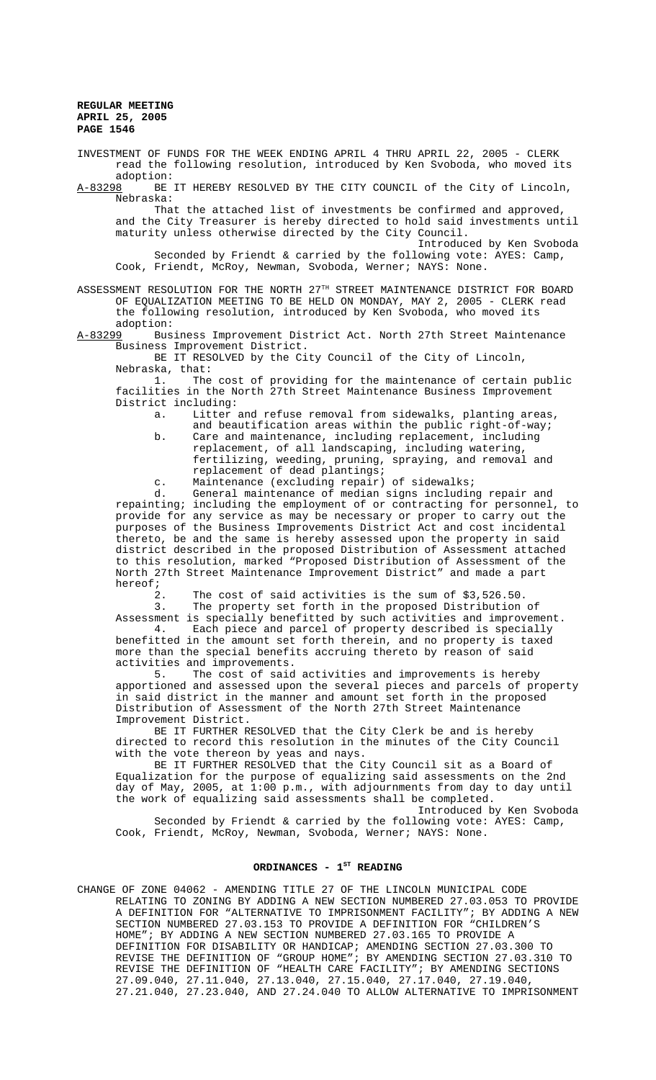INVESTMENT OF FUNDS FOR THE WEEK ENDING APRIL 4 THRU APRIL 22, 2005 - CLERK read the following resolution, introduced by Ken Svoboda, who moved its adoption:<br>A-83298 BE

BE IT HEREBY RESOLVED BY THE CITY COUNCIL of the City of Lincoln, Nebraska:

That the attached list of investments be confirmed and approved, and the City Treasurer is hereby directed to hold said investments until maturity unless otherwise directed by the City Council.

Introduced by Ken Svoboda Seconded by Friendt & carried by the following vote: AYES: Camp, Cook, Friendt, McRoy, Newman, Svoboda, Werner; NAYS: None.

ASSESSMENT RESOLUTION FOR THE NORTH 27<sup>TH</sup> STREET MAINTENANCE DISTRICT FOR BOARD OF EQUALIZATION MEETING TO BE HELD ON MONDAY, MAY 2, 2005 - CLERK read the following resolution, introduced by Ken Svoboda, who moved its

adoption:<br>A-83299 Bus Business Improvement District Act. North 27th Street Maintenance Business Improvement District.

BE IT RESOLVED by the City Council of the City of Lincoln, Nebraska, that:

1. The cost of providing for the maintenance of certain public facilities in the North 27th Street Maintenance Business Improvement District including:

a. Litter and refuse removal from sidewalks, planting areas, and beautification areas within the public right-of-way;

- b. Care and maintenance, including replacement, including replacement, of all landscaping, including watering, fertilizing, weeding, pruning, spraying, and removal and replacement of dead plantings;
- c. Maintenance (excluding repair) of sidewalks;<br>d. General maintenance of median signs includin

General maintenance of median signs including repair and repainting; including the employment of or contracting for personnel, to provide for any service as may be necessary or proper to carry out the purposes of the Business Improvements District Act and cost incidental thereto, be and the same is hereby assessed upon the property in said district described in the proposed Distribution of Assessment attached to this resolution, marked "Proposed Distribution of Assessment of the North 27th Street Maintenance Improvement District" and made a part hereof;

2. The cost of said activities is the sum of \$3,526.50. 3. The property set forth in the proposed Distribution of

Assessment is specially benefitted by such activities and improvement. 4. Each piece and parcel of property described is specially benefitted in the amount set forth therein, and no property is taxed more than the special benefits accruing thereto by reason of said activities and improvements.

5. The cost of said activities and improvements is hereby apportioned and assessed upon the several pieces and parcels of property in said district in the manner and amount set forth in the proposed Distribution of Assessment of the North 27th Street Maintenance Improvement District.

BE IT FURTHER RESOLVED that the City Clerk be and is hereby directed to record this resolution in the minutes of the City Council with the vote thereon by yeas and nays.

BE IT FURTHER RESOLVED that the City Council sit as a Board of Equalization for the purpose of equalizing said assessments on the 2nd day of May, 2005, at 1:00 p.m., with adjournments from day to day until the work of equalizing said assessments shall be completed.

Introduced by Ken Svoboda Seconded by Friendt & carried by the following vote: AYES: Camp, Cook, Friendt, McRoy, Newman, Svoboda, Werner; NAYS: None.

# ORDINANCES - 1<sup>st</sup> READING

CHANGE OF ZONE 04062 - AMENDING TITLE 27 OF THE LINCOLN MUNICIPAL CODE RELATING TO ZONING BY ADDING A NEW SECTION NUMBERED 27.03.053 TO PROVIDE A DEFINITION FOR "ALTERNATIVE TO IMPRISONMENT FACILITY"; BY ADDING A NEW SECTION NUMBERED 27.03.153 TO PROVIDE A DEFINITION FOR "CHILDREN'S HOME"; BY ADDING A NEW SECTION NUMBERED 27.03.165 TO PROVIDE A DEFINITION FOR DISABILITY OR HANDICAP; AMENDING SECTION 27.03.300 TO REVISE THE DEFINITION OF "GROUP HOME"; BY AMENDING SECTION 27.03.310 TO REVISE THE DEFINITION OF "HEALTH CARE FACILITY"; BY AMENDING SECTIONS 27.09.040, 27.11.040, 27.13.040, 27.15.040, 27.17.040, 27.19.040, 27.21.040, 27.23.040, AND 27.24.040 TO ALLOW ALTERNATIVE TO IMPRISONMENT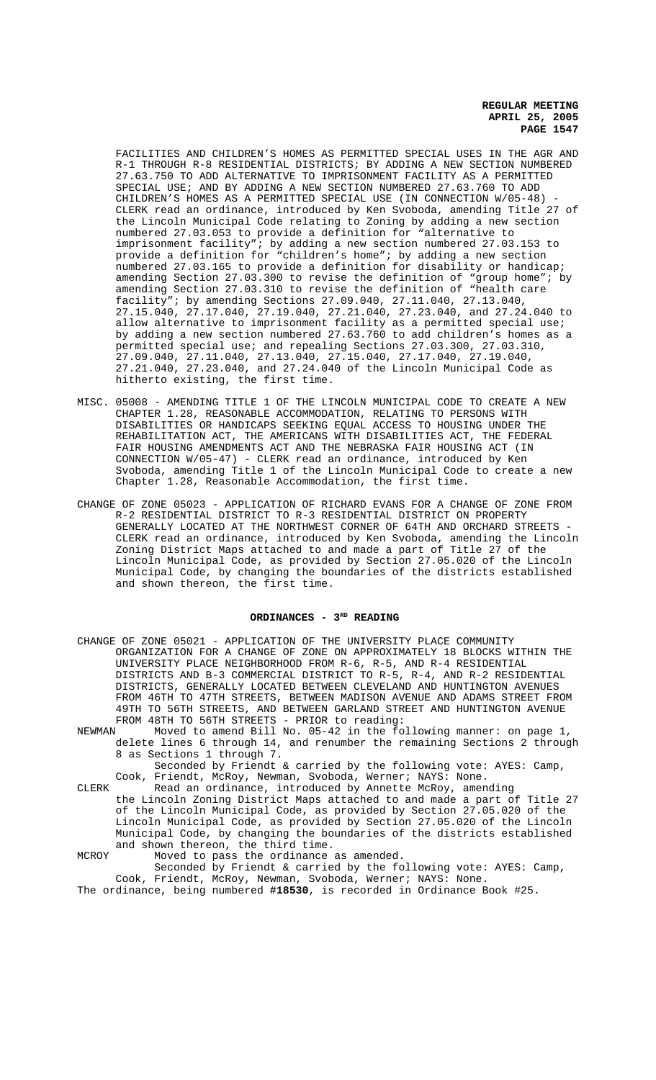FACILITIES AND CHILDREN'S HOMES AS PERMITTED SPECIAL USES IN THE AGR AND R-1 THROUGH R-8 RESIDENTIAL DISTRICTS; BY ADDING A NEW SECTION NUMBERED 27.63.750 TO ADD ALTERNATIVE TO IMPRISONMENT FACILITY AS A PERMITTED SPECIAL USE; AND BY ADDING A NEW SECTION NUMBERED 27.63.760 TO ADD CHILDREN'S HOMES AS A PERMITTED SPECIAL USE (IN CONNECTION W/05-48) CLERK read an ordinance, introduced by Ken Svoboda, amending Title 27 of the Lincoln Municipal Code relating to Zoning by adding a new section numbered 27.03.053 to provide a definition for "alternative to imprisonment facility"; by adding a new section numbered 27.03.153 to provide a definition for "children's home"; by adding a new section numbered 27.03.165 to provide a definition for disability or handicap; amending Section 27.03.300 to revise the definition of "group home"; by amending Section 27.03.310 to revise the definition of "health care dmchding Section 21.00.01.27.09.040, 27.11.040, 27.13.040, 27.15.040, 27.17.040, 27.19.040, 27.21.040, 27.23.040, and 27.24.040 to allow alternative to imprisonment facility as a permitted special use; by adding a new section numbered 27.63.760 to add children's homes as a permitted special use; and repealing Sections 27.03.300, 27.03.310, 27.09.040, 27.11.040, 27.13.040, 27.15.040, 27.17.040, 27.19.040, 27.21.040, 27.23.040, and 27.24.040 of the Lincoln Municipal Code as hitherto existing, the first time.

- MISC. 05008 AMENDING TITLE 1 OF THE LINCOLN MUNICIPAL CODE TO CREATE A NEW CHAPTER 1.28, REASONABLE ACCOMMODATION, RELATING TO PERSONS WITH DISABILITIES OR HANDICAPS SEEKING EQUAL ACCESS TO HOUSING UNDER THE REHABILITATION ACT, THE AMERICANS WITH DISABILITIES ACT, THE FEDERAL FAIR HOUSING AMENDMENTS ACT AND THE NEBRASKA FAIR HOUSING ACT (IN CONNECTION W/05-47) - CLERK read an ordinance, introduced by Ken Svoboda, amending Title 1 of the Lincoln Municipal Code to create a new Chapter 1.28, Reasonable Accommodation, the first time.
- CHANGE OF ZONE 05023 APPLICATION OF RICHARD EVANS FOR A CHANGE OF ZONE FROM R-2 RESIDENTIAL DISTRICT TO R-3 RESIDENTIAL DISTRICT ON PROPERTY GENERALLY LOCATED AT THE NORTHWEST CORNER OF 64TH AND ORCHARD STREETS - CLERK read an ordinance, introduced by Ken Svoboda, amending the Lincoln Zoning District Maps attached to and made a part of Title 27 of the Lincoln Municipal Code, as provided by Section 27.05.020 of the Lincoln Municipal Code, by changing the boundaries of the districts established and shown thereon, the first time.

# ORDINANCES - 3<sup>RD</sup> READING

- CHANGE OF ZONE 05021 APPLICATION OF THE UNIVERSITY PLACE COMMUNITY ORGANIZATION FOR A CHANGE OF ZONE ON APPROXIMATELY 18 BLOCKS WITHIN THE UNIVERSITY PLACE NEIGHBORHOOD FROM R-6, R-5, AND R-4 RESIDENTIAL DISTRICTS AND B-3 COMMERCIAL DISTRICT TO R-5, R-4, AND R-2 RESIDENTIAL DISTRICTS, GENERALLY LOCATED BETWEEN CLEVELAND AND HUNTINGTON AVENUES FROM 46TH TO 47TH STREETS, BETWEEN MADISON AVENUE AND ADAMS STREET FROM 49TH TO 56TH STREETS, AND BETWEEN GARLAND STREET AND HUNTINGTON AVENUE FROM 48TH TO 56TH STREETS - PRIOR to reading:<br>NEWMAN Moved to amend Bill No. 05-42 in the fo
- Moved to amend Bill No. 05-42 in the following manner: on page 1, delete lines 6 through 14, and renumber the remaining Sections 2 through 8 as Sections 1 through 7.
	- Seconded by Friendt & carried by the following vote: AYES: Camp, Cook, Friendt, McRoy, Newman, Svoboda, Werner; NAYS: None.
- CLERK Read an ordinance, introduced by Annette McRoy, amending the Lincoln Zoning District Maps attached to and made a part of Title 27 of the Lincoln Municipal Code, as provided by Section 27.05.020 of the Lincoln Municipal Code, as provided by Section 27.05.020 of the Lincoln Municipal Code, by changing the boundaries of the districts established and shown thereon, the third time.
- MCROY Moved to pass the ordinance as amended. Seconded by Friendt & carried by the following vote: AYES: Camp, Cook, Friendt, McRoy, Newman, Svoboda, Werner; NAYS: None.
- The ordinance, being numbered **#18530**, is recorded in Ordinance Book #25.